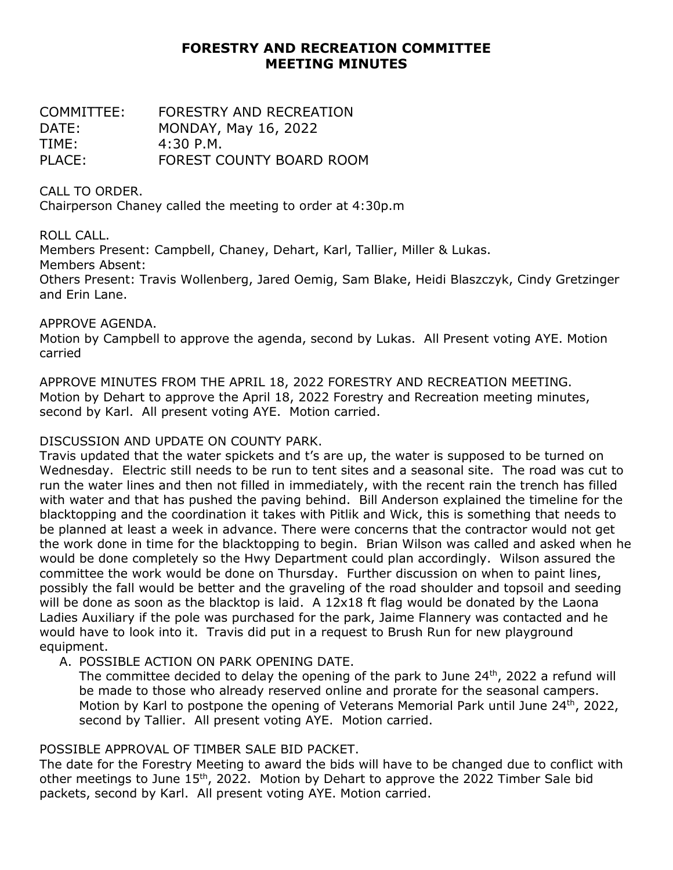# **FORESTRY AND RECREATION COMMITTEE MEETING MINUTES**

| COMMITTEE: | FORESTRY AND RECREATION  |
|------------|--------------------------|
| DATE:      | MONDAY, May 16, 2022     |
| TIME:      | 4:30P.M.                 |
| PLACE:     | FOREST COUNTY BOARD ROOM |

CALL TO ORDER.

Chairperson Chaney called the meeting to order at 4:30p.m

ROLL CALL.

Members Present: Campbell, Chaney, Dehart, Karl, Tallier, Miller & Lukas.

Members Absent:

Others Present: Travis Wollenberg, Jared Oemig, Sam Blake, Heidi Blaszczyk, Cindy Gretzinger and Erin Lane.

#### APPROVE AGENDA.

Motion by Campbell to approve the agenda, second by Lukas. All Present voting AYE. Motion carried

APPROVE MINUTES FROM THE APRIL 18, 2022 FORESTRY AND RECREATION MEETING. Motion by Dehart to approve the April 18, 2022 Forestry and Recreation meeting minutes, second by Karl. All present voting AYE. Motion carried.

## DISCUSSION AND UPDATE ON COUNTY PARK.

Travis updated that the water spickets and t's are up, the water is supposed to be turned on Wednesday. Electric still needs to be run to tent sites and a seasonal site. The road was cut to run the water lines and then not filled in immediately, with the recent rain the trench has filled with water and that has pushed the paving behind. Bill Anderson explained the timeline for the blacktopping and the coordination it takes with Pitlik and Wick, this is something that needs to be planned at least a week in advance. There were concerns that the contractor would not get the work done in time for the blacktopping to begin. Brian Wilson was called and asked when he would be done completely so the Hwy Department could plan accordingly. Wilson assured the committee the work would be done on Thursday. Further discussion on when to paint lines, possibly the fall would be better and the graveling of the road shoulder and topsoil and seeding will be done as soon as the blacktop is laid. A 12x18 ft flag would be donated by the Laona Ladies Auxiliary if the pole was purchased for the park, Jaime Flannery was contacted and he would have to look into it. Travis did put in a request to Brush Run for new playground equipment.

## A. POSSIBLE ACTION ON PARK OPENING DATE.

The committee decided to delay the opening of the park to June  $24<sup>th</sup>$ , 2022 a refund will be made to those who already reserved online and prorate for the seasonal campers. Motion by Karl to postpone the opening of Veterans Memorial Park until June 24<sup>th</sup>, 2022, second by Tallier. All present voting AYE. Motion carried.

## POSSIBLE APPROVAL OF TIMBER SALE BID PACKET.

The date for the Forestry Meeting to award the bids will have to be changed due to conflict with other meetings to June 15<sup>th</sup>, 2022. Motion by Dehart to approve the 2022 Timber Sale bid packets, second by Karl. All present voting AYE. Motion carried.